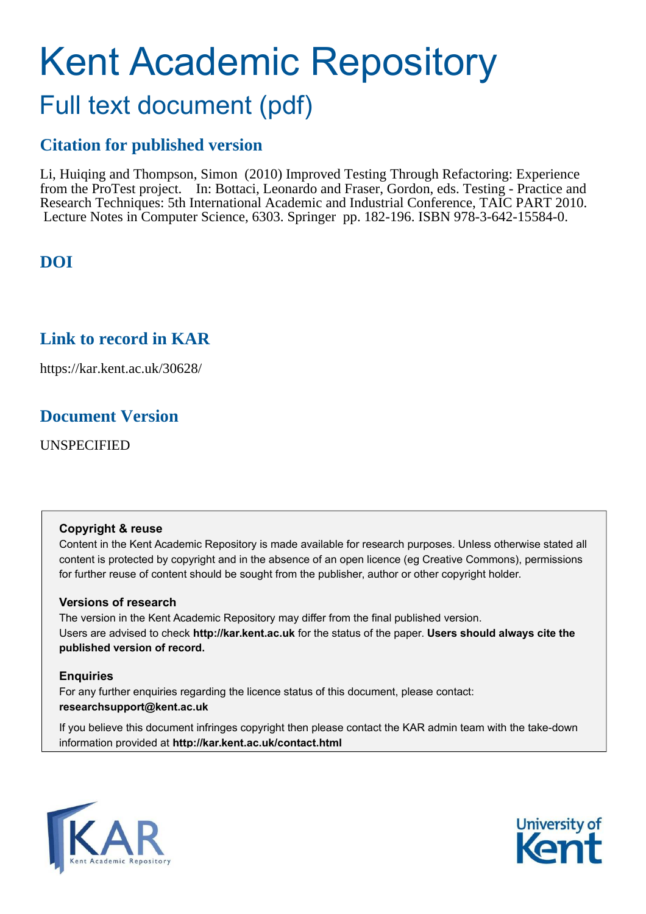# Kent Academic Repository Full text document (pdf)

## **Citation for published version**

Li, Huiqing and Thompson, Simon (2010) Improved Testing Through Refactoring: Experience from the ProTest project. In: Bottaci, Leonardo and Fraser, Gordon, eds. Testing - Practice and Research Techniques: 5th International Academic and Industrial Conference, TAIC PART 2010. Lecture Notes in Computer Science, 6303. Springer pp. 182-196. ISBN 978-3-642-15584-0.

# **DOI**

## **Link to record in KAR**

https://kar.kent.ac.uk/30628/

## **Document Version**

UNSPECIFIED

#### **Copyright & reuse**

Content in the Kent Academic Repository is made available for research purposes. Unless otherwise stated all content is protected by copyright and in the absence of an open licence (eg Creative Commons), permissions for further reuse of content should be sought from the publisher, author or other copyright holder.

## **Versions of research**

The version in the Kent Academic Repository may differ from the final published version. Users are advised to check **http://kar.kent.ac.uk** for the status of the paper. **Users should always cite the published version of record.**

## **Enquiries**

For any further enquiries regarding the licence status of this document, please contact: **researchsupport@kent.ac.uk**

If you believe this document infringes copyright then please contact the KAR admin team with the take-down information provided at **http://kar.kent.ac.uk/contact.html**



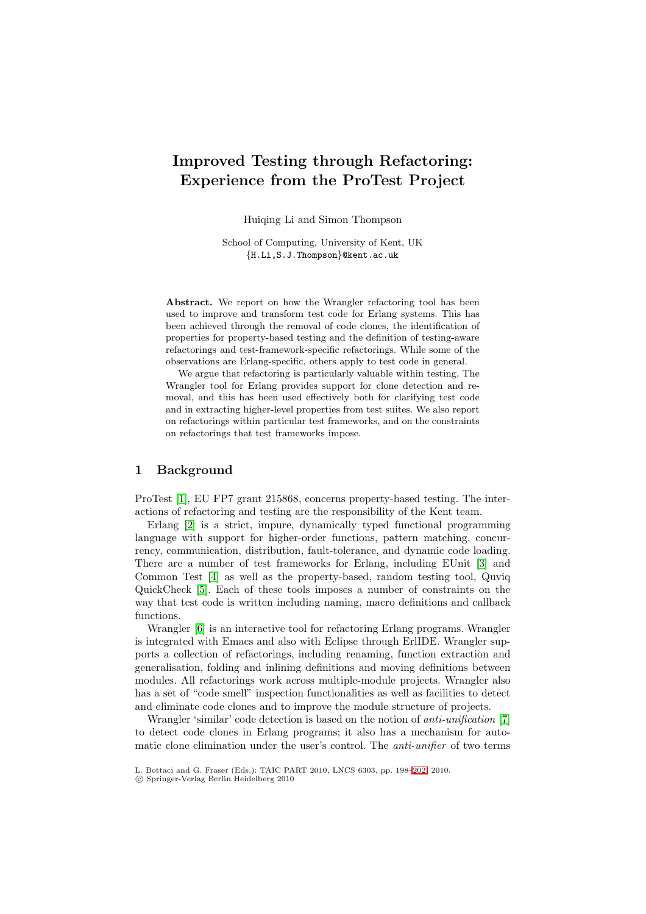## Improved Testing through Refactoring: Experience from the ProTest Project

Huiqing Li and Simon Thompson

School of Computing, University of Kent, UK {H.Li,S.J.Thompson}@kent.ac.uk

Abstract. We report on how the Wrangler refactoring tool has been used to improve and transform test code for Erlang systems. This has been achieved through the removal of code clones, the identification of properties for property-based testing and the definition of testing-aware refactorings and test-framework-specific refactorings. While some of the observations are Erlang-specific, others apply to test code in general.

We argue that refactoring is particularly valuable within testing. The Wrangler tool for Erlang provides support for clone detection and removal, and this has been used effectively both for clarifying test code and in extracting higher-level properties from test suites. We also report on refactorings within particular test frameworks, and on the constraints on refactorings that test frameworks impose.

#### 1 Background

ProTest [\[1\]](#page-3-0), EU FP7 grant 215868, concerns property-based testing. The interactions of refactoring and testing are the responsibility of the Kent team.

Erlang [\[2\]](#page-3-1) is a strict, impure, dynamically typed functional programming language with support for higher-order functions, pattern matching, concurrency, communication, distribution, fault-tolerance, and dynamic code loading. There are a number of test frameworks for Erlang, including EUnit [\[3\]](#page-3-2) and Common Test [\[4\]](#page-4-0) as well as the property-based, random testing tool, Quviq QuickCheck [\[5\]](#page-4-1). Each of these tools imposes a number of constraints on the way that test code is written including naming, macro definitions and callback functions.

Wrangler [\[6\]](#page-4-2) is an interactive tool for refactoring Erlang programs. Wrangler is integrated with Emacs and also with Eclipse through ErlIDE. Wrangler supports a collection of refactorings, including renaming, function extraction and generalisation, folding and inlining definitions and moving definitions between modules. All refactorings work across multiple-module projects. Wrangler also has a set of "code smell" inspection functionalities as well as facilities to detect and eliminate code clones and to improve the module structure of projects.

Wrangler 'similar' code detection is based on the notion of *anti-unification* [\[7\]](#page-4-3) to detect code clones in Erlang programs; it also has a mechanism for automatic clone elimination under the user's control. The anti-unifier of two terms

L. Bottaci and G. Fraser (Eds.): TAIC PART 2010, LNCS 6303, pp. 198[–202,](#page-3-3) 2010.

<sup>-</sup>c Springer-Verlag Berlin Heidelberg 2010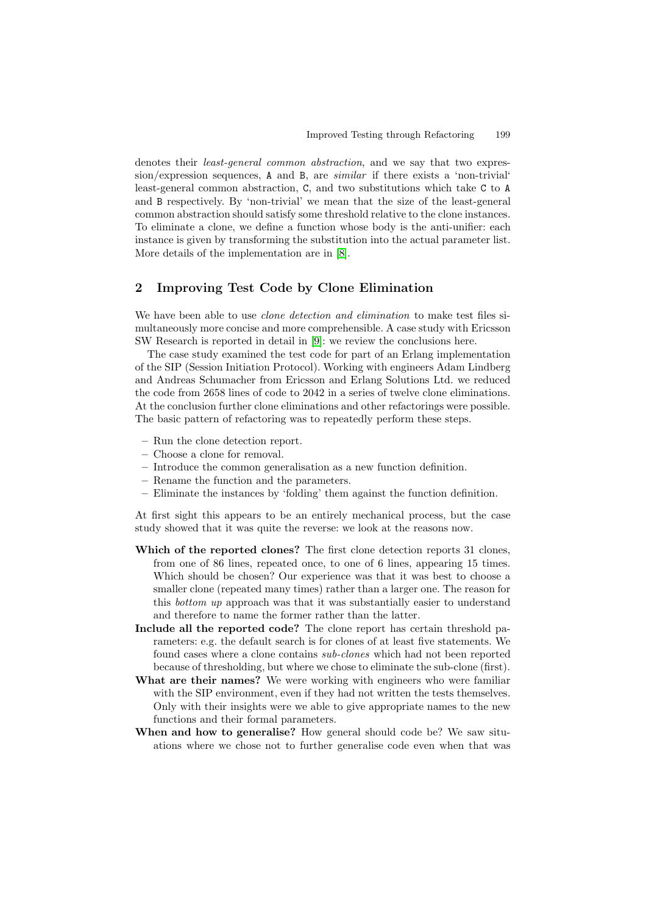denotes their *least-general common abstraction*, and we say that two expression/expression sequences, A and B, are similar if there exists a 'non-trivial' least-general common abstraction, C, and two substitutions which take C to A and B respectively. By 'non-trivial' we mean that the size of the least-general common abstraction should satisfy some threshold relative to the clone instances. To eliminate a clone, we define a function whose body is the anti-unifier: each instance is given by transforming the substitution into the actual parameter list. More details of the implementation are in [\[8\]](#page-4-4).

#### 2 Improving Test Code by Clone Elimination

We have been able to use *clone detection and elimination* to make test files simultaneously more concise and more comprehensible. A case study with Ericsson SW Research is reported in detail in [\[9\]](#page-4-5): we review the conclusions here.

The case study examined the test code for part of an Erlang implementation of the SIP (Session Initiation Protocol). Working with engineers Adam Lindberg and Andreas Schumacher from Ericsson and Erlang Solutions Ltd. we reduced the code from 2658 lines of code to 2042 in a series of twelve clone eliminations. At the conclusion further clone eliminations and other refactorings were possible. The basic pattern of refactoring was to repeatedly perform these steps.

- Run the clone detection report.
- Choose a clone for removal.
- Introduce the common generalisation as a new function definition.
- Rename the function and the parameters.
- Eliminate the instances by 'folding' them against the function definition.

At first sight this appears to be an entirely mechanical process, but the case study showed that it was quite the reverse: we look at the reasons now.

- Which of the reported clones? The first clone detection reports 31 clones, from one of 86 lines, repeated once, to one of 6 lines, appearing 15 times. Which should be chosen? Our experience was that it was best to choose a smaller clone (repeated many times) rather than a larger one. The reason for this bottom up approach was that it was substantially easier to understand and therefore to name the former rather than the latter.
- Include all the reported code? The clone report has certain threshold parameters: e.g. the default search is for clones of at least five statements. We found cases where a clone contains sub-clones which had not been reported because of thresholding, but where we chose to eliminate the sub-clone (first).
- What are their names? We were working with engineers who were familiar with the SIP environment, even if they had not written the tests themselves. Only with their insights were we able to give appropriate names to the new functions and their formal parameters.
- When and how to generalise? How general should code be? We saw situations where we chose not to further generalise code even when that was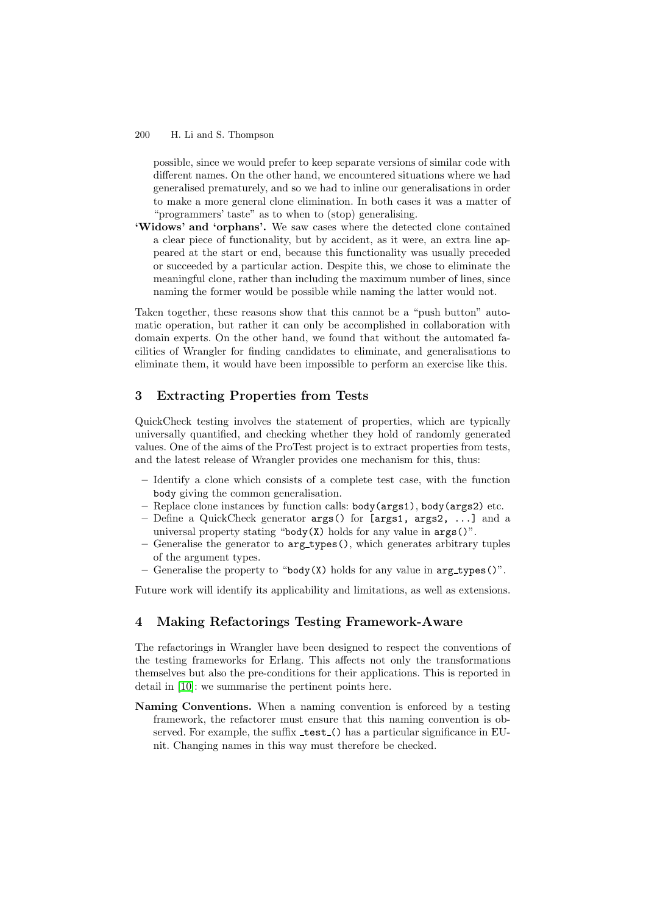#### 200 H. Li and S. Thompson

possible, since we would prefer to keep separate versions of similar code with different names. On the other hand, we encountered situations where we had generalised prematurely, and so we had to inline our generalisations in order to make a more general clone elimination. In both cases it was a matter of "programmers' taste" as to when to (stop) generalising.

'Widows' and 'orphans'. We saw cases where the detected clone contained a clear piece of functionality, but by accident, as it were, an extra line appeared at the start or end, because this functionality was usually preceded or succeeded by a particular action. Despite this, we chose to eliminate the meaningful clone, rather than including the maximum number of lines, since naming the former would be possible while naming the latter would not.

Taken together, these reasons show that this cannot be a "push button" automatic operation, but rather it can only be accomplished in collaboration with domain experts. On the other hand, we found that without the automated facilities of Wrangler for finding candidates to eliminate, and generalisations to eliminate them, it would have been impossible to perform an exercise like this.

#### 3 Extracting Properties from Tests

QuickCheck testing involves the statement of properties, which are typically universally quantified, and checking whether they hold of randomly generated values. One of the aims of the ProTest project is to extract properties from tests, and the latest release of Wrangler provides one mechanism for this, thus:

- Identify a clone which consists of a complete test case, with the function body giving the common generalisation.
- Replace clone instances by function calls: body(args1), body(args2) etc.
- Define a QuickCheck generator args() for [args1, args2, ...] and a universal property stating "body $(X)$  holds for any value in  $args()$ ".
- Generalise the generator to  $arg\_types()$ , which generates arbitrary tuples of the argument types.
- Generalise the property to "body(X) holds for any value in  $\arg{types()}$ ".

Future work will identify its applicability and limitations, as well as extensions.

#### 4 Making Refactorings Testing Framework-Aware

<span id="page-3-3"></span><span id="page-3-0"></span>The refactorings in Wrangler have been designed to respect the conventions of the testing frameworks for Erlang. This affects not only the transformations themselves but also the pre-conditions for their applications. This is reported in detail in [\[10\]](#page-4-6): we summarise the pertinent points here.

<span id="page-3-2"></span><span id="page-3-1"></span>Naming Conventions. When a naming convention is enforced by a testing framework, the refactorer must ensure that this naming convention is observed. For example, the suffix  $_test()$  has a particular significance in EUnit. Changing names in this way must therefore be checked.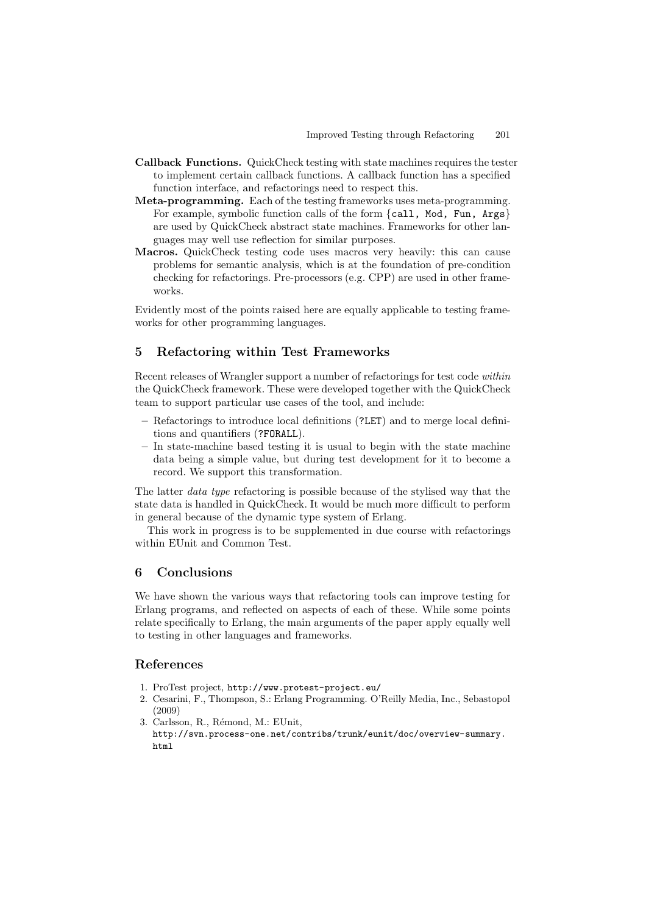- <span id="page-4-1"></span><span id="page-4-0"></span>Callback Functions. QuickCheck testing with state machines requires the tester to implement certain callback functions. A callback function has a specified function interface, and refactorings need to respect this.
- <span id="page-4-3"></span><span id="page-4-2"></span>Meta-programming. Each of the testing frameworks uses meta-programming. For example, symbolic function calls of the form {call, Mod, Fun, Args} are used by QuickCheck abstract state machines. Frameworks for other languages may well use reflection for similar purposes.
- <span id="page-4-5"></span><span id="page-4-4"></span>Macros. QuickCheck testing code uses macros very heavily: this can cause problems for semantic analysis, which is at the foundation of pre-condition checking for refactorings. Pre-processors (e.g. CPP) are used in other frameworks.

<span id="page-4-6"></span>Evidently most of the points raised here are equally applicable to testing frameworks for other programming languages.

#### 5 Refactoring within Test Frameworks

Recent releases of Wrangler support a number of refactorings for test code within the QuickCheck framework. These were developed together with the QuickCheck team to support particular use cases of the tool, and include:

- Refactorings to introduce local definitions (?LET) and to merge local definitions and quantifiers (?FORALL).
- In state-machine based testing it is usual to begin with the state machine data being a simple value, but during test development for it to become a record. We support this transformation.

The latter data type refactoring is possible because of the stylised way that the state data is handled in QuickCheck. It would be much more difficult to perform in general because of the dynamic type system of Erlang.

This work in progress is to be supplemented in due course with refactorings within EUnit and Common Test.

#### 6 Conclusions

We have shown the various ways that refactoring tools can improve testing for Erlang programs, and reflected on aspects of each of these. While some points relate specifically to Erlang, the main arguments of the paper apply equally well to testing in other languages and frameworks.

#### References

- 1. ProTest project, <http://www.protest-project.eu/>
- 2. Cesarini, F., Thompson, S.: Erlang Programming. O'Reilly Media, Inc., Sebastopol (2009)
- 3. Carlsson, R., Rémond, M.: EUnit,

[http://svn.process-one.net/contribs/trunk/eunit/doc/overview-summary.](http://svn.process-one.net/contribs/trunk/eunit/doc/overview-summary.html) [html](http://svn.process-one.net/contribs/trunk/eunit/doc/overview-summary.html)